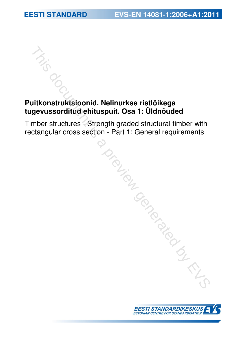# **Puitkonstruktsioonid. Nelinurkse ristlõikega tugevussorditud ehituspuit. Osa 1: Üldnõuded**

Timber structures - Strength graded structural timber with rectangular cross section - Part 1: General requirements Frequency of the Universe istration of the Content of the Content of the Content requirements the part 1: General requirements the part 1: General requirements of the Content of the Content of The Content of the Content of

**EESTI STANDARDIKESKUSE**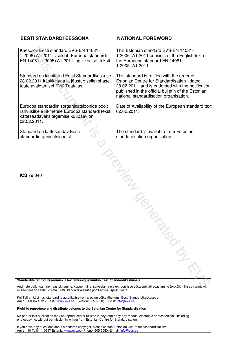# **EESTI STANDARDI EESSÕNA NATIONAL FOREWORD**

| Käesolev Eesti standard EVS-EN 14081-<br>1:2006+A1:2011 sisaldab Euroopa standardi<br>EN 14081-1:2005+A1:2011 ingliskeelset teksti.                                                                                    | This Estonian standard EVS-EN 14081-<br>1:2006+A1:2011 consists of the English text of<br>the European standard EN 14081-<br>$1:2005 + A1:2011.$                                                                                             |
|------------------------------------------------------------------------------------------------------------------------------------------------------------------------------------------------------------------------|----------------------------------------------------------------------------------------------------------------------------------------------------------------------------------------------------------------------------------------------|
| Standard on kinnitatud Eesti Standardikeskuse<br>28.02.2011 käskkirjaga ja jõustub sellekohase<br>teate avaldamisel EVS Teatajas.                                                                                      | This standard is ratified with the order of<br>Estonian Centre for Standardisation dated<br>28.02.2011 and is endorsed with the notification<br>published in the official bulletin of the Estonian<br>national standardisation organisation. |
| Euroopa standardimisorganisatsioonide poolt<br>rahvuslikele liikmetele Euroopa standardi teksti<br>kättesaadavaks tegemise kuupäev on<br>02.02.2011.                                                                   | Date of Availability of the European standard text<br>02.02.2011.                                                                                                                                                                            |
| Standard on kättesaadav Eesti<br>standardiorganisatsioonist.                                                                                                                                                           | The standard is available from Estonian<br>standardisation organisation.                                                                                                                                                                     |
| <b>ICS 79.040</b>                                                                                                                                                                                                      | NEW TON                                                                                                                                                                                                                                      |
| Standardite reprodutseerimis- ja levitamisõigus kuulub Eesti Standardikeskusele<br>Andmete paljundamine, taastekitamine, kopeerimine, salvestamine elektroonilisse süsteemi või edastamine ükskõik millises vormis või |                                                                                                                                                                                                                                              |

### **Standardite reprodutseerimis- ja levitamisõigus kuulub Eesti Standardikeskusele**

Andmete paljundamine, taastekitamine, kopeerimine, salvestamine elektroonilisse süsteemi või edastamine ükskõik millises vormis või millisel teel on keelatud ilma Eesti Standardikeskuse poolt antud kirjaliku loata.

Kui Teil on küsimusi standardite autorikaitse kohta, palun võtke ühendust Eesti Standardikeskusega: Aru 10 Tallinn 10317 Eesti; www.evs.ee; Telefon: 605 5050; E-post: info@evs.ee

#### **Right to reproduce and distribute belongs to the Estonian Centre for Standardisation**

No part of this publication may be reproduced or utilized in any form or by any means, electronic or mechanical, including photocopying, without permission in writing from Estonian Centre for Standardisation.

If you have any questions about standards copyright, please contact Estonian Centre for Standardisation: Aru str 10 Tallinn 10317 Estonia; www.evs.ee; Phone: 605 5050; E-mail: info@evs.ee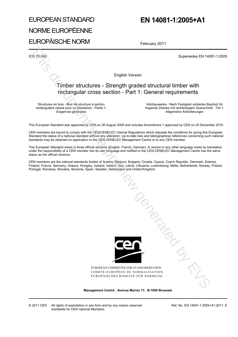# EUROPEAN STANDARD NORME EUROPÉENNE EUROPÄISCHE NORM

# **EN 14081-1:2005+A1**

February 2011

ICS 79.040 Supersedes EN 14081-1:2005

English Version

# Timber structures - Strength graded structural timber with rectangular cross section - Part 1: General requirements

Structures en bois - Bois de structure à section rectangulaire classé pour sa résistance - Partie 1: Exigences générales

 Holzbauwerke - Nach Festigkeit sortiertes Bauholz für tragende Zwecke mit rechteckigem Querschnitt - Teil 1: Allgemeine Anforderungen

This European Standard was approved by CEN on 26 August 2005 and includes Amendment 1 approved by CEN on 20 December 2010.

CEN members are bound to comply with the CEN/CENELEC Internal Regulations which stipulate the conditions for giving this European Standard the status of a national standard without any alteration. Up-to-date lists and bibliographical references concerning such national standards may be obtained on application to the CEN-CENELEC Management Centre or to any CEN member.

This European Standard exists in three official versions (English, French, German). A version in any other language made by translation under the responsibility of a CEN member into its own language and notified to the CEN-CENELEC Management Centre has the same status as the official versions.

CEN members are the national standards bodies of Austria, Belgium, Bulgaria, Croatia, Cyprus, Czech Republic, Denmark, Estonia, Finland, France, Germany, Greece, Hungary, Iceland, Ireland, Italy, Latvia, Lithuania, Luxembourg, Malta, Netherlands, Norway, Poland, Portugal, Romania, Slovakia, Slovenia, Spain, Sweden, Switzerland and United Kingdom.



EUROPEAN COMMITTEE FOR STANDARDIZATION COMITÉ EUROPÉEN DE NORMALISATION EUROPÄISCHES KOMITEE FÜR NORMUNG

**Management Centre: Avenue Marnix 17, B-1000 Brussels**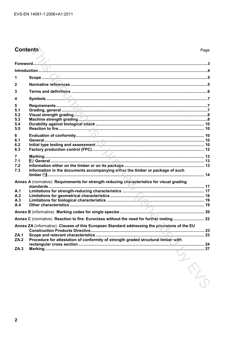# **Contents**

| 1                                    |                                                                                                                                                                                   |  |
|--------------------------------------|-----------------------------------------------------------------------------------------------------------------------------------------------------------------------------------|--|
| 2                                    |                                                                                                                                                                                   |  |
| 3                                    |                                                                                                                                                                                   |  |
| 4                                    |                                                                                                                                                                                   |  |
| 5<br>5.1<br>5.2<br>5.3<br>5.4<br>5.5 |                                                                                                                                                                                   |  |
| 6<br>6.1<br>6.2<br>6.3               |                                                                                                                                                                                   |  |
| 7<br>7.1<br>7.2<br>7.3               | Information in the documents accompanying either the timber or package of such                                                                                                    |  |
| A.1<br>A.2<br>A.3<br>A.4             | Annex A (normative) Requirements for strength reducing characteristics for visual grading                                                                                         |  |
|                                      |                                                                                                                                                                                   |  |
|                                      | Annex C (normative) Reaction to fire: Euroclass without the need for further testing 22                                                                                           |  |
| ZA.1<br>ZA.2<br>ZA.3                 | Annex ZA (informative) Clauses of this European Standard addressing the provisions of the EU<br>Procedure for attestation of conformity of strength graded structural timber with |  |
|                                      | RIV                                                                                                                                                                               |  |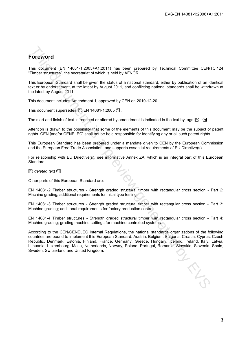# **Foreword**

This document (EN 14081-1:2005+A1:2011) has been prepared by Technical Committee CEN/TC 124 "Timber structures", the secretariat of which is held by AFNOR.

This European Standard shall be given the status of a national standard, either by publication of an identical text or by endorsement, at the latest by August 2011, and conflicting national standards shall be withdrawn at the latest by August 2011.

This document includes Amendment 1, approved by CEN on 2010-12-20.

This document supersedes  $\mathbb{A}_1$  EN 14081-1:2005  $\mathbb{A}_1$ .

The start and finish of text introduced or altered by amendment is indicated in the text by tags  $\mathbb{A}_1$ .

Attention is drawn to the possibility that some of the elements of this document may be the subject of patent rights. CEN [and/or CENELEC] shall not be held responsible for identifying any or all such patent rights.

This European Standard has been prepared under a mandate given to CEN by the European Commission and the European Free Trade Association, and supports essential requirements of EU Directive(s).

For relationship with EU Directive(s), see informative Annex ZA, which is an integral part of this European Standard.

### $\overline{A_1}$ *deleted text*  $\overline{A_1}$

Other parts of this European Standard are:

EN 14081-2 Timber structures - Strength graded structural timber with rectangular cross section - Part 2: Machine grading; additional requirements for initial type testing.

EN 14081-3 Timber structures - Strength graded structural timber with rectangular cross section - Part 3: Machine grading; additional requirements for factory production control,

EN 14081-4 Timber structures - Strength graded structural timber with rectangular cross section - Part 4: Machine grading; grading machine settings for machine controlled systems.

According to the CEN/CENELEC Internal Regulations, the national standards organizations of the following countries are bound to implement this European Standard: Austria, Belgium, Bulgaria, Croatia, Cyprus, Czech Republic, Denmark, Estonia, Finland, France, Germany, Greece, Hungary, Iceland, Ireland, Italy, Latvia, Lithuania, Luxembourg, Malta, Netherlands, Norway, Poland, Portugal, Romania, Slovakia, Slovenia, Spain, Sweden, Switzerland and United Kingdom. **Forceword**<br>This document (EN 14081-1:2005+A1:2011) has been propared by Technical Committee CENT<br>Timber structures', the secretarist of which is held by AFNOR:<br>Timber structures', the secretarist of which is held by AFNOR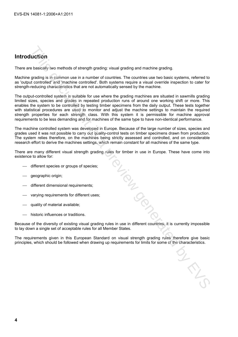# **Introduction**

There are basically two methods of strength grading: visual grading and machine grading.

Machine grading is in common use in a number of countries. The countries use two basic systems, referred to as 'output controlled' and 'machine controlled'. Both systems require a visual override inspection to cater for strength-reducing characteristics that are not automatically sensed by the machine.

The output-controlled system is suitable for use where the grading machines are situated in sawmills grading limited sizes, species and grades in repeated production runs of around one working shift or more. This enables the system to be controlled by testing timber specimens from the daily output. These tests together with statistical procedures are used to monitor and adjust the machine settings to maintain the required strength properties for each strength class. With this system it is permissible for machine approval requirements to be less demanding and for machines of the same type to have non-identical performance. **Liction**<br>
Lection<br>
Lection<br>
pradagists (wo methods of stength grading visual grading and machine grading.<br>
pradagists in common use in a number of countries. The countries use two basic systems, referred to<br>
record the co

The machine controlled system was developed in Europe. Because of the large number of sizes, species and grades used it was not possible to carry out quality-control tests on timber specimens drawn from production. The system relies therefore, on the machines being strictly assessed and controlled, and on considerable research effort to derive the machines settings, which remain constant for all machines of the same type.

There are many different visual strength grading rules for timber in use in Europe. These have come into existence to allow for:<br>
— different species or groups of species;<br>
— contain;<br>
— contain; existence to allow for:

- different species or groups of species;
- geographic origin;
- different dimensional requirements;
- varying requirements for different uses;
- quality of material available;
- historic influences or traditions.

Because of the diversity of existing visual grading rules in use in different countries, it is currently impossible to lay down a single set of acceptable rules for all Member States.

The requirements given in this European Standard on visual strength grading rules therefore give basic principles, which should be followed when drawing up requirements for limits for some of the characteristics.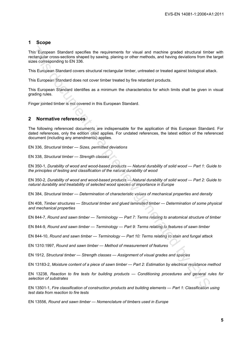# **1 Scope**

This European Standard specifies the requirements for visual and machine graded structural timber with rectangular cross-sections shaped by sawing, planing or other methods, and having deviations from the target sizes corresponding to EN 336.

This European Standard covers structural rectangular timber, untreated or treated against biological attack.

This European Standard does not cover timber treated by fire retardant products.

This European Standard identifies as a minimum the characteristics for which limits shall be given in visual grading rules.

Finger jointed timber is not covered in this European Standard.

# **2 Normative references**

The following referenced documents are indispensable for the application of this European Standard. For dated references, only the edition cited applies. For undated references, the latest edition of the referenced document (including any amendments) applies. This European Standard specifies the requirements for visual and machine graded structural timber<br>and machine consessed for singled by sawing, planing or other methods, and having deviations from the<br>gas corresponding to E

EN 336, *Structural timber — Sizes, permitted deviations*

EN 338, *Structural timber — Strength classes*

EN 350-1, *Durability of wood and wood-based products — Natural durability of solid wood — Part 1: Guide to the principles of testing and classification of the natural durability of wood*

EN 350-2, *Durability of wood and wood-based products — Natural durability of solid wood — Part 2: Guide to natural durability and treatability of selected wood species of importance in Europe*

EN 384, *Structural timber — Determination of characteristic values of mechanical properties and density*

EN 408, *Timber structures — Structural timber and glued laminated timber — Determination of some physical and mechanical properties*

EN 844-7, *Round and sawn timber — Terminology — Part 7: Terms relating to anatomical structure of timber*

EN 844-9, *Round and sawn timber — Terminology — Part 9: Terms relating to features of sawn timber*

EN 844-10, *Round and sawn timber — Terminology — Part 10: Terms relating to stain and fungal attack*

EN 1310:1997, *Round and sawn timber — Method of measurement of features*

EN 1912, *Structural timber — Strength classes — Assignment of visual grades and species*

EN 13183-2, *Moisture content of a piece of sawn timber — Part 2: Estimation by electrical resistance method* 

EN 13238, *Reaction to fire tests for building products — Conditioning procedures and general rules for selection of substrates*

EN 13501-1, *Fire classification of construction products and building elements — Part 1: Classification using test data from reaction to fire tests*

EN 13556, *Round and sawn timber — Nomenclature of timbers used in Europe*